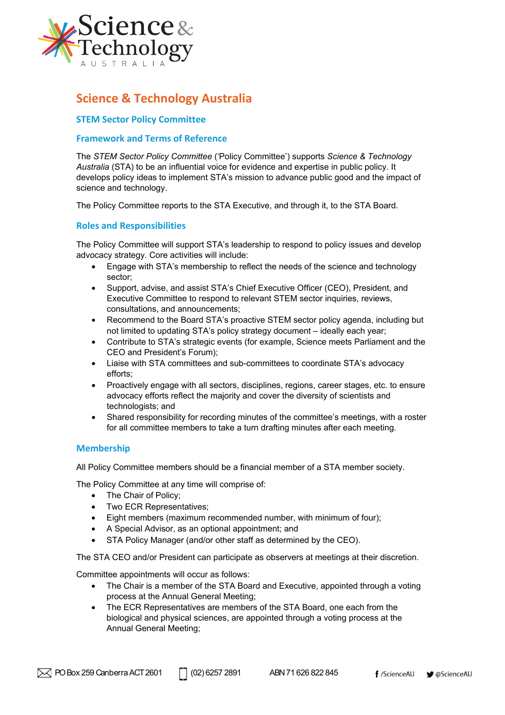

# **Science & Technology Australia**

# **STEM Sector Policy Committee**

### **Framework and Terms of Reference**

The *STEM Sector Policy Committee* ('Policy Committee') supports *Science & Technology Australia* (STA) to be an influential voice for evidence and expertise in public policy. It develops policy ideas to implement STA's mission to advance public good and the impact of science and technology.

The Policy Committee reports to the STA Executive, and through it, to the STA Board.

## **Roles and Responsibilities**

The Policy Committee will support STA's leadership to respond to policy issues and develop advocacy strategy. Core activities will include:

- Engage with STA's membership to reflect the needs of the science and technology sector;
- Support, advise, and assist STA's Chief Executive Officer (CEO), President, and Executive Committee to respond to relevant STEM sector inquiries, reviews, consultations, and announcements;
- Recommend to the Board STA's proactive STEM sector policy agenda, including but not limited to updating STA's policy strategy document – ideally each year;
- Contribute to STA's strategic events (for example, Science meets Parliament and the CEO and President's Forum);
- Liaise with STA committees and sub-committees to coordinate STA's advocacy efforts;
- Proactively engage with all sectors, disciplines, regions, career stages, etc. to ensure advocacy efforts reflect the majority and cover the diversity of scientists and technologists; and
- Shared responsibility for recording minutes of the committee's meetings, with a roster for all committee members to take a turn drafting minutes after each meeting.

#### **Membership**

All Policy Committee members should be a financial member of a STA member society.

The Policy Committee at any time will comprise of:

- The Chair of Policy;
- Two ECR Representatives;
- Eight members (maximum recommended number, with minimum of four);
- A Special Advisor, as an optional appointment; and
- STA Policy Manager (and/or other staff as determined by the CEO).

The STA CEO and/or President can participate as observers at meetings at their discretion.

Committee appointments will occur as follows:

- The Chair is a member of the STA Board and Executive, appointed through a voting process at the Annual General Meeting;
- The ECR Representatives are members of the STA Board, one each from the biological and physical sciences, are appointed through a voting process at the Annual General Meeting;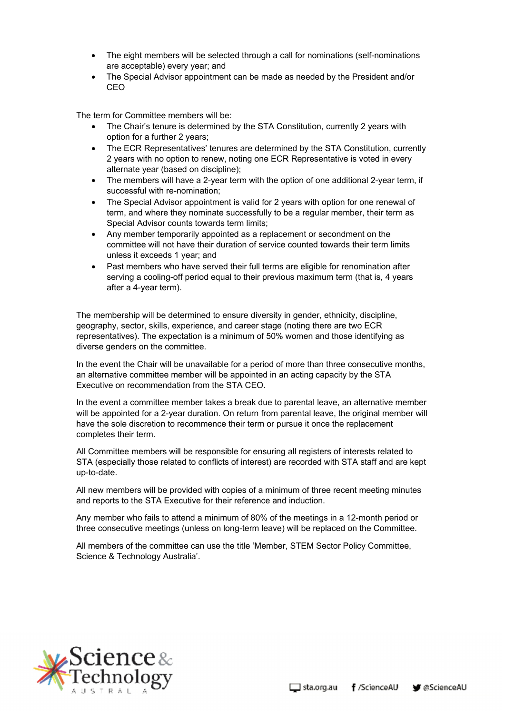- The eight members will be selected through a call for nominations (self-nominations are acceptable) every year; and
- The Special Advisor appointment can be made as needed by the President and/or CEO

The term for Committee members will be:

- The Chair's tenure is determined by the STA Constitution, currently 2 years with option for a further 2 years;
- The ECR Representatives' tenures are determined by the STA Constitution, currently 2 years with no option to renew, noting one ECR Representative is voted in every alternate year (based on discipline);
- The members will have a 2-year term with the option of one additional 2-year term, if successful with re-nomination;
- The Special Advisor appointment is valid for 2 years with option for one renewal of term, and where they nominate successfully to be a regular member, their term as Special Advisor counts towards term limits;
- Any member temporarily appointed as a replacement or secondment on the committee will not have their duration of service counted towards their term limits unless it exceeds 1 year; and
- Past members who have served their full terms are eligible for renomination after serving a cooling-off period equal to their previous maximum term (that is, 4 years after a 4-year term).

The membership will be determined to ensure diversity in gender, ethnicity, discipline, geography, sector, skills, experience, and career stage (noting there are two ECR representatives). The expectation is a minimum of 50% women and those identifying as diverse genders on the committee.

In the event the Chair will be unavailable for a period of more than three consecutive months, an alternative committee member will be appointed in an acting capacity by the STA Executive on recommendation from the STA CEO.

In the event a committee member takes a break due to parental leave, an alternative member will be appointed for a 2-year duration. On return from parental leave, the original member will have the sole discretion to recommence their term or pursue it once the replacement completes their term.

All Committee members will be responsible for ensuring all registers of interests related to STA (especially those related to conflicts of interest) are recorded with STA staff and are kept up-to-date.

All new members will be provided with copies of a minimum of three recent meeting minutes and reports to the STA Executive for their reference and induction.

Any member who fails to attend a minimum of 80% of the meetings in a 12-month period or three consecutive meetings (unless on long-term leave) will be replaced on the Committee.

All members of the committee can use the title 'Member, STEM Sector Policy Committee, Science & Technology Australia'.